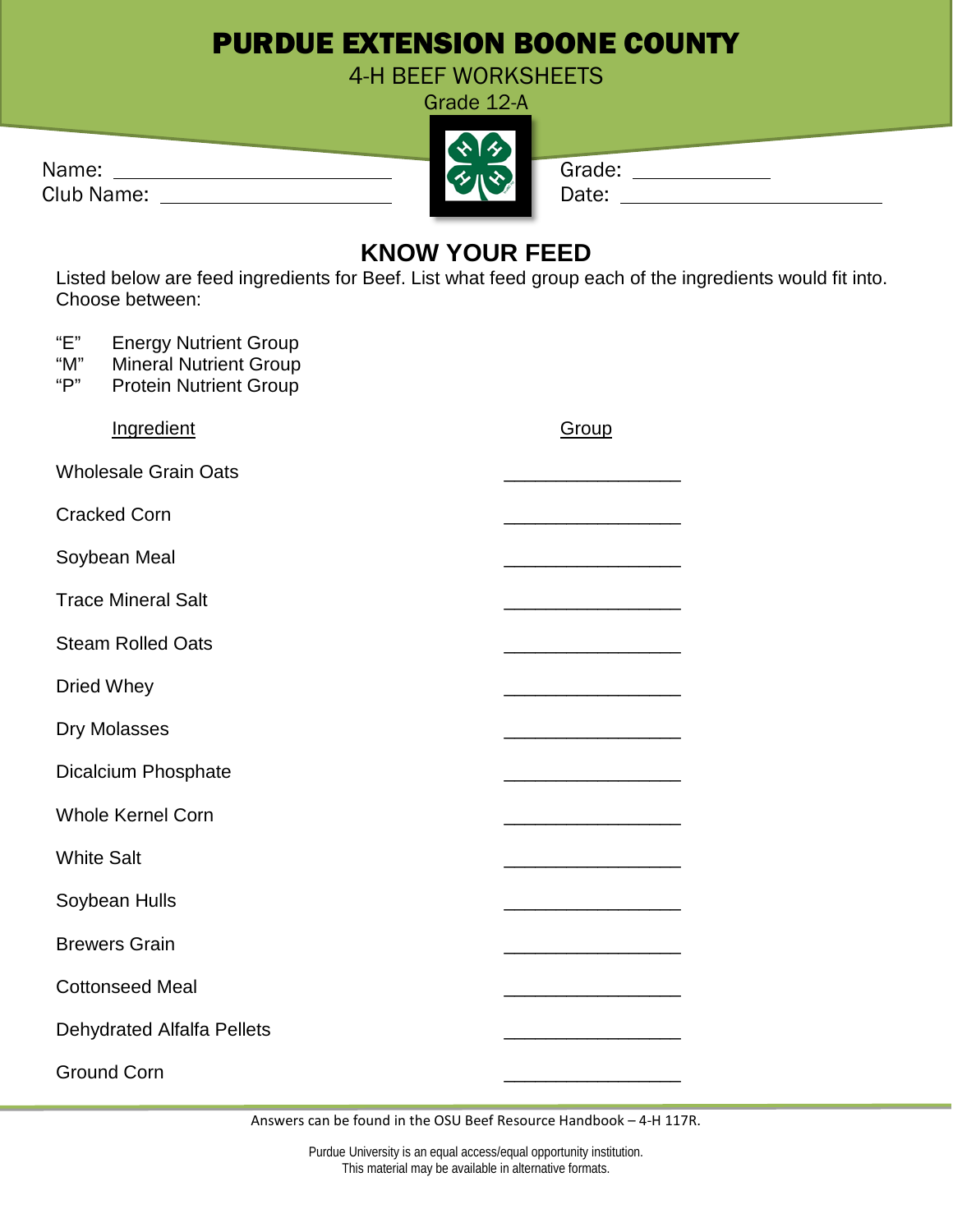## PURDUE EXTENSION BOONE COUNTY

4-H BEEF WORKSHEETS Grade 12-A

| Name:      | スルメ | Grade: |
|------------|-----|--------|
| Club Name: |     | Date:  |

|  |  | irade: |
|--|--|--------|
|  |  |        |

| uc. |  |  |  |
|-----|--|--|--|
| е:  |  |  |  |
|     |  |  |  |

## **KNOW YOUR FEED**

Listed below are feed ingredients for Beef. List what feed group each of the ingredients would fit into. Choose between:

| "E"<br><b>Energy Nutrient Group</b><br><b>Mineral Nutrient Group</b><br>"M"<br>"P"<br><b>Protein Nutrient Group</b> |       |
|---------------------------------------------------------------------------------------------------------------------|-------|
| Ingredient                                                                                                          | Group |
| <b>Wholesale Grain Oats</b>                                                                                         |       |
| <b>Cracked Corn</b>                                                                                                 |       |
| Soybean Meal                                                                                                        |       |
| <b>Trace Mineral Salt</b>                                                                                           |       |
| <b>Steam Rolled Oats</b>                                                                                            |       |
| <b>Dried Whey</b>                                                                                                   |       |
| <b>Dry Molasses</b>                                                                                                 |       |
| <b>Dicalcium Phosphate</b>                                                                                          |       |
| <b>Whole Kernel Corn</b>                                                                                            |       |
| <b>White Salt</b>                                                                                                   |       |
| Soybean Hulls                                                                                                       |       |
| <b>Brewers Grain</b>                                                                                                |       |
| <b>Cottonseed Meal</b>                                                                                              |       |
| <b>Dehydrated Alfalfa Pellets</b>                                                                                   |       |
| <b>Ground Corn</b>                                                                                                  |       |

Answers can be found in the OSU Beef Resource Handbook – 4-H 117R.